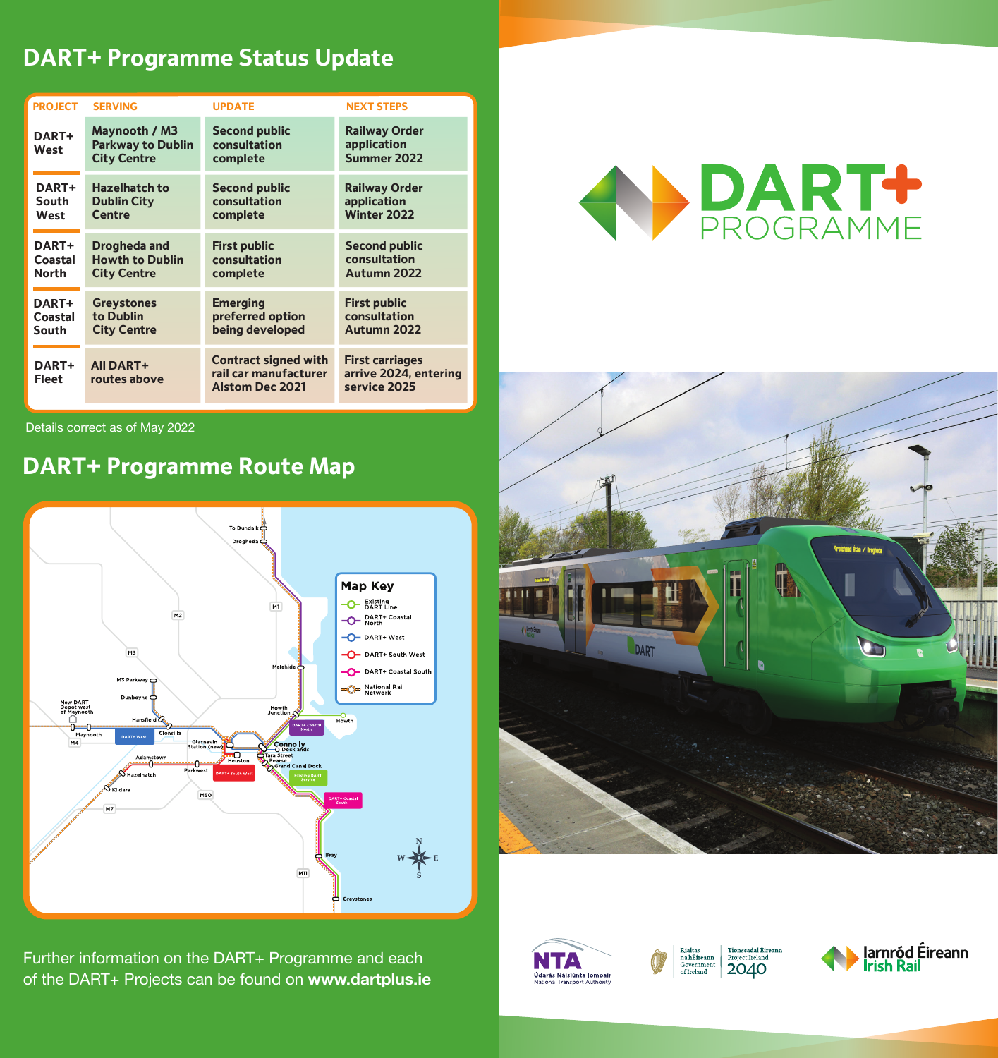# **DART+ Programme Status Update**

| <b>PROJECT</b> | <b>SERVING</b>                                                  | <b>UPDATE</b>                                                                  | <b>NEXT STEPS</b>                                               |
|----------------|-----------------------------------------------------------------|--------------------------------------------------------------------------------|-----------------------------------------------------------------|
| DART+<br>West  | Maynooth / M3<br><b>Parkway to Dublin</b><br><b>City Centre</b> | <b>Second public</b><br>consultation<br>complete                               | <b>Railway Order</b><br>application<br>Summer 2022              |
| DART+          | <b>Hazelhatch to</b>                                            | <b>Second public</b>                                                           | <b>Railway Order</b>                                            |
| South          | <b>Dublin City</b>                                              | consultation                                                                   | application                                                     |
| West           | Centre                                                          | complete                                                                       | <b>Winter 2022</b>                                              |
| DART+          | Drogheda and                                                    | <b>First public</b>                                                            | <b>Second public</b>                                            |
| Coastal        | <b>Howth to Dublin</b>                                          | consultation                                                                   | consultation                                                    |
| <b>North</b>   | <b>City Centre</b>                                              | complete                                                                       | Autumn 2022                                                     |
| <b>DART+</b>   | <b>Greystones</b>                                               | <b>Emerging</b>                                                                | <b>First public</b>                                             |
| Coastal        | to Dublin                                                       | preferred option                                                               | consultation                                                    |
| South          | <b>City Centre</b>                                              | being developed                                                                | Autumn 2022                                                     |
| DART+<br>Fleet | <b>AII DART+</b><br>routes above                                | <b>Contract signed with</b><br>rail car manufacturer<br><b>Alstom Dec 2021</b> | <b>First carriages</b><br>arrive 2024, entering<br>service 2025 |

Details correct as of May 2022

# **DART+ Programme Route Map**



Further information on the DART+ Programme and each of the DART+ Projects can be found on **www.dartplus.ie**







Tionscadal Éireann<br>Proiect Ireland Rialtas<br>na hÉireann Governme 2040